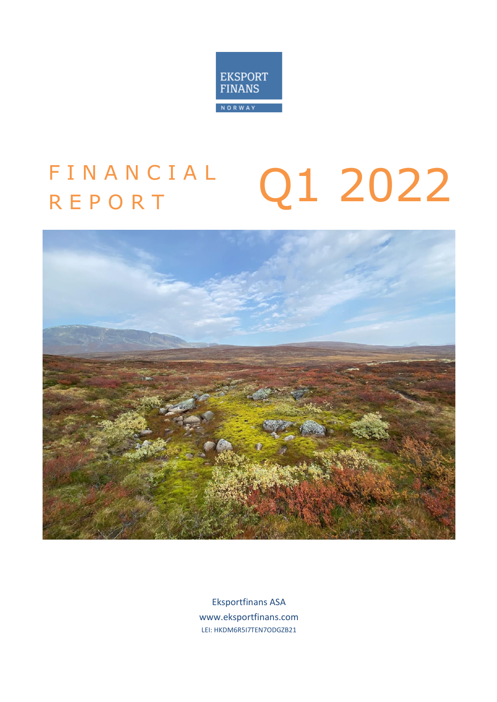

# Q1 2022 **FINANCIAL** R E P O R T



Eksportfinans ASA www.eksportfinans.com LEI: HKDM6R5I7TEN7ODGZB21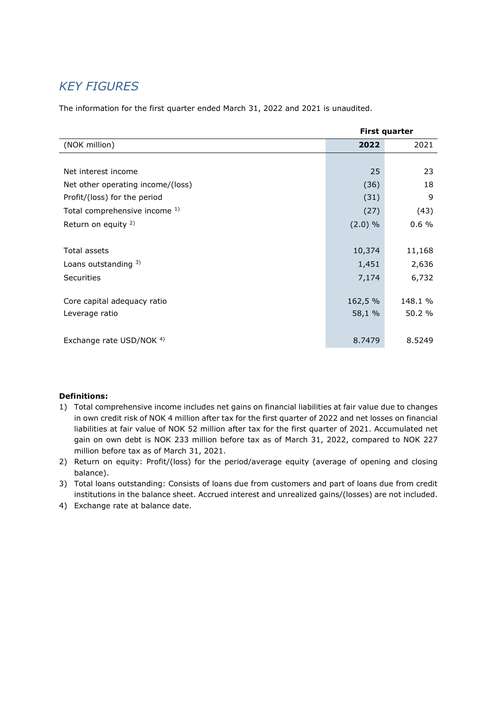## *KEY FIGURES*

The information for the first quarter ended March 31, 2022 and 2021 is unaudited.

| <b>First quarter</b>              |           |         |  |
|-----------------------------------|-----------|---------|--|
| (NOK million)                     | 2022      | 2021    |  |
|                                   |           |         |  |
| Net interest income               | 25        | 23      |  |
| Net other operating income/(loss) | (36)      | 18      |  |
| Profit/(loss) for the period      | (31)      | 9       |  |
| Total comprehensive income 1)     | (27)      | (43)    |  |
| Return on equity <sup>2)</sup>    | $(2.0)$ % | 0.6%    |  |
|                                   |           |         |  |
| Total assets                      | 10,374    | 11,168  |  |
| Loans outstanding $3)$            | 1,451     | 2,636   |  |
| Securities                        | 7,174     | 6,732   |  |
|                                   |           |         |  |
| Core capital adequacy ratio       | 162,5 %   | 148.1 % |  |
| Leverage ratio                    | 58,1 %    | 50.2 %  |  |
|                                   |           |         |  |
| Exchange rate USD/NOK 4)          | 8.7479    | 8.5249  |  |

### **Definitions:**

- 1) Total comprehensive income includes net gains on financial liabilities at fair value due to changes in own credit risk of NOK 4 million after tax for the first quarter of 2022 and net losses on financial liabilities at fair value of NOK 52 million after tax for the first quarter of 2021. Accumulated net gain on own debt is NOK 233 million before tax as of March 31, 2022, compared to NOK 227 million before tax as of March 31, 2021.
- 2) Return on equity: Profit/(loss) for the period/average equity (average of opening and closing balance).
- 3) Total loans outstanding: Consists of loans due from customers and part of loans due from credit institutions in the balance sheet. Accrued interest and unrealized gains/(losses) are not included.
- 4) Exchange rate at balance date.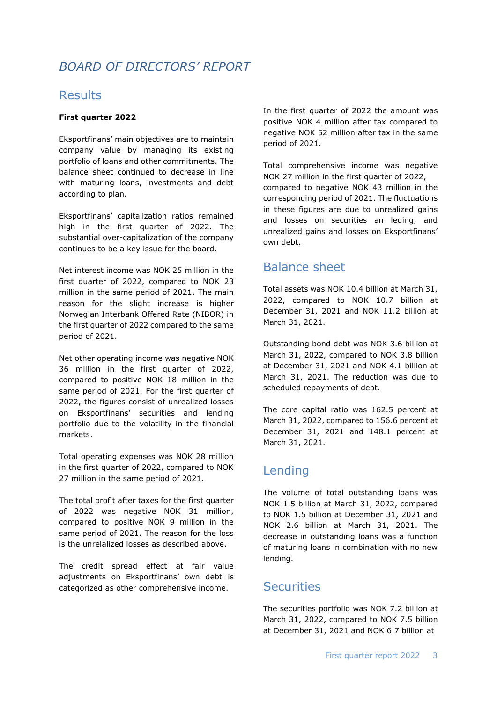## *BOARD OF DIRECTORS' REPORT*

### **Results**

### **First quarter 2022**

Eksportfinans' main objectives are to maintain company value by managing its existing portfolio of loans and other commitments. The balance sheet continued to decrease in line with maturing loans, investments and debt according to plan.

Eksportfinans' capitalization ratios remained high in the first quarter of 2022. The substantial over-capitalization of the company continues to be a key issue for the board.

Net interest income was NOK 25 million in the first quarter of 2022, compared to NOK 23 million in the same period of 2021. The main reason for the slight increase is higher Norwegian Interbank Offered Rate (NIBOR) in the first quarter of 2022 compared to the same period of 2021.

Net other operating income was negative NOK 36 million in the first quarter of 2022, compared to positive NOK 18 million in the same period of 2021. For the first quarter of 2022, the figures consist of unrealized losses on Eksportfinans' securities and lending portfolio due to the volatility in the financial markets.

Total operating expenses was NOK 28 million in the first quarter of 2022, compared to NOK 27 million in the same period of 2021.

The total profit after taxes for the first quarter of 2022 was negative NOK 31 million, compared to positive NOK 9 million in the same period of 2021. The reason for the loss is the unrelalized losses as described above.

The credit spread effect at fair value adjustments on Eksportfinans' own debt is categorized as other comprehensive income.

In the first quarter of 2022 the amount was positive NOK 4 million after tax compared to negative NOK 52 million after tax in the same period of 2021.

Total comprehensive income was negative NOK 27 million in the first quarter of 2022, compared to negative NOK 43 million in the corresponding period of 2021. The fluctuations in these figures are due to unrealized gains and losses on securities an leding, and unrealized gains and losses on Eksportfinans' own debt.

### Balance sheet

Total assets was NOK 10.4 billion at March 31, 2022, compared to NOK 10.7 billion at December 31, 2021 and NOK 11.2 billion at March 31, 2021.

Outstanding bond debt was NOK 3.6 billion at March 31, 2022, compared to NOK 3.8 billion at December 31, 2021 and NOK 4.1 billion at March 31, 2021. The reduction was due to scheduled repayments of debt.

The core capital ratio was 162.5 percent at March 31, 2022, compared to 156.6 percent at December 31, 2021 and 148.1 percent at March 31, 2021.

### Lending

The volume of total outstanding loans was NOK 1.5 billion at March 31, 2022, compared to NOK 1.5 billion at December 31, 2021 and NOK 2.6 billion at March 31, 2021. The decrease in outstanding loans was a function of maturing loans in combination with no new lending.

### **Securities**

The securities portfolio was NOK 7.2 billion at March 31, 2022, compared to NOK 7.5 billion at December 31, 2021 and NOK 6.7 billion at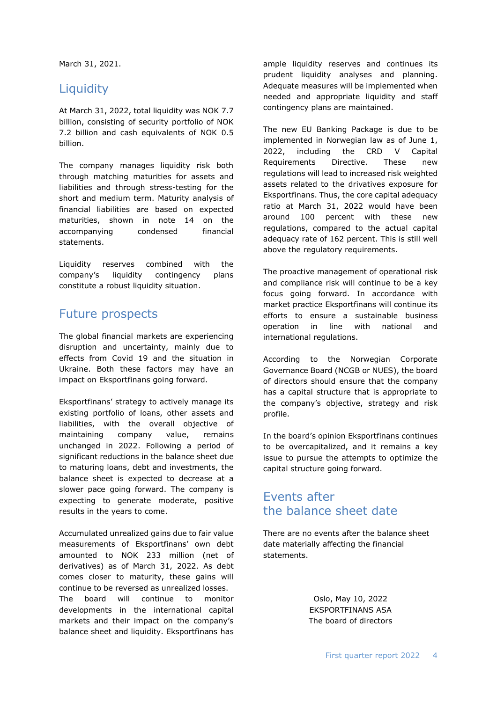March 31, 2021.

### **Liquidity**

At March 31, 2022, total liquidity was NOK 7.7 billion, consisting of security portfolio of NOK 7.2 billion and cash equivalents of NOK 0.5 billion.

The company manages liquidity risk both through matching maturities for assets and liabilities and through stress-testing for the short and medium term. Maturity analysis of financial liabilities are based on expected maturities, shown in note 14 on the accompanying condensed financial statements.

Liquidity reserves combined with the company's liquidity contingency plans constitute a robust liquidity situation.

### Future prospects

The global financial markets are experiencing disruption and uncertainty, mainly due to effects from Covid 19 and the situation in Ukraine. Both these factors may have an impact on Eksportfinans going forward.

Eksportfinans' strategy to actively manage its existing portfolio of loans, other assets and liabilities, with the overall objective of maintaining company value, remains unchanged in 2022. Following a period of significant reductions in the balance sheet due to maturing loans, debt and investments, the balance sheet is expected to decrease at a slower pace going forward. The company is expecting to generate moderate, positive results in the years to come.

Accumulated unrealized gains due to fair value measurements of Eksportfinans' own debt amounted to NOK 233 million (net of derivatives) as of March 31, 2022. As debt comes closer to maturity, these gains will continue to be reversed as unrealized losses.

The board will continue to monitor developments in the international capital markets and their impact on the company's balance sheet and liquidity. Eksportfinans has

ample liquidity reserves and continues its prudent liquidity analyses and planning. Adequate measures will be implemented when needed and appropriate liquidity and staff contingency plans are maintained.

The new EU Banking Package is due to be implemented in Norwegian law as of June 1, 2022, including the CRD V Capital Requirements Directive. These new regulations will lead to increased risk weighted assets related to the drivatives exposure for Eksportfinans. Thus, the core capital adequacy ratio at March 31, 2022 would have been around 100 percent with these new regulations, compared to the actual capital adequacy rate of 162 percent. This is still well above the regulatory requirements.

The proactive management of operational risk and compliance risk will continue to be a key focus going forward. In accordance with market practice Eksportfinans will continue its efforts to ensure a sustainable business operation in line with national and international regulations.

According to the Norwegian Corporate Governance Board (NCGB or NUES), the board of directors should ensure that the company has a capital structure that is appropriate to the company's objective, strategy and risk profile.

In the board's opinion Eksportfinans continues to be overcapitalized, and it remains a key issue to pursue the attempts to optimize the capital structure going forward.

### Events after the balance sheet date

There are no events after the balance sheet date materially affecting the financial statements.

> Oslo, May 10, 2022 EKSPORTFINANS ASA The board of directors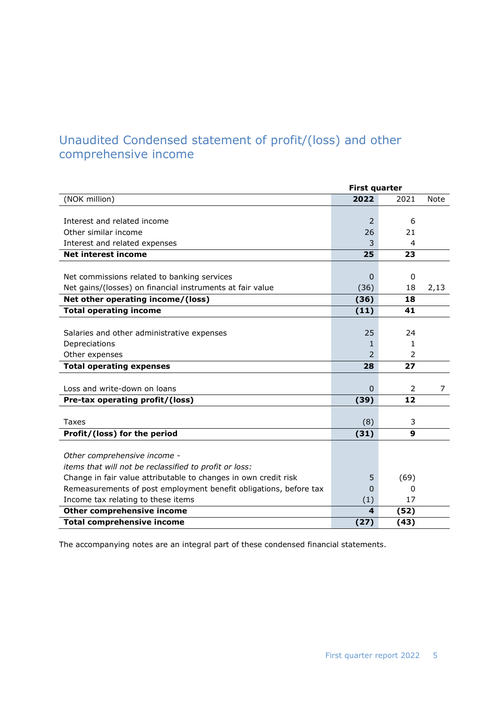## Unaudited Condensed statement of profit/(loss) and other comprehensive income

|                                                                   | <b>First quarter</b> |      |             |
|-------------------------------------------------------------------|----------------------|------|-------------|
| (NOK million)                                                     | 2022                 | 2021 | <b>Note</b> |
|                                                                   |                      |      |             |
| Interest and related income                                       | $\overline{2}$       | 6    |             |
| Other similar income                                              | 26                   | 21   |             |
| Interest and related expenses                                     | 3                    | 4    |             |
| <b>Net interest income</b>                                        | 25                   | 23   |             |
|                                                                   |                      |      |             |
| Net commissions related to banking services                       | 0                    | 0    |             |
| Net gains/(losses) on financial instruments at fair value         | (36)                 | 18   | 2,13        |
| Net other operating income/(loss)                                 | (36)                 | 18   |             |
| <b>Total operating income</b>                                     | (11)                 | 41   |             |
|                                                                   |                      |      |             |
| Salaries and other administrative expenses                        | 25                   | 24   |             |
| Depreciations                                                     | 1                    | 1    |             |
| Other expenses                                                    | $\mathcal{P}$        | 2    |             |
| <b>Total operating expenses</b>                                   | 28                   | 27   |             |
|                                                                   |                      |      |             |
| Loss and write-down on loans                                      | $\Omega$             | 2    | 7           |
| Pre-tax operating profit/(loss)                                   | (39)                 | 12   |             |
|                                                                   |                      |      |             |
| <b>Taxes</b>                                                      | (8)                  | 3    |             |
| Profit/(loss) for the period                                      | (31)                 | 9    |             |
|                                                                   |                      |      |             |
| Other comprehensive income -                                      |                      |      |             |
| items that will not be reclassified to profit or loss:            |                      |      |             |
| Change in fair value attributable to changes in own credit risk   | 5                    | (69) |             |
| Remeasurements of post employment benefit obligations, before tax | $\Omega$             | 0    |             |
| Income tax relating to these items                                | (1)                  | 17   |             |
| Other comprehensive income                                        | 4                    | (52) |             |
| <b>Total comprehensive income</b>                                 | (27)                 | (43) |             |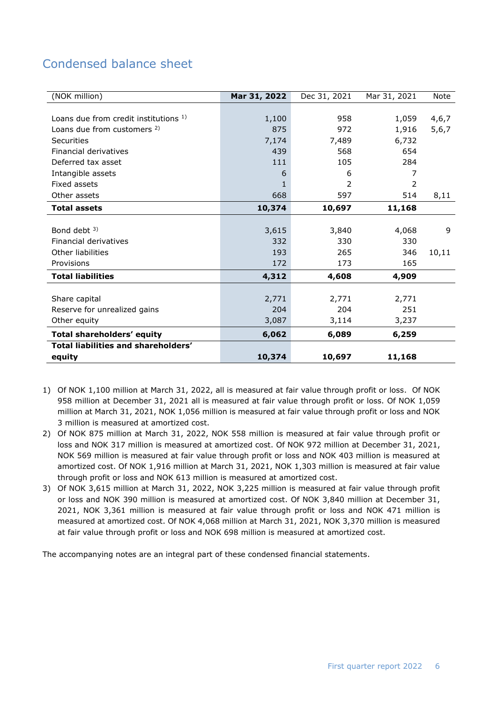## Condensed balance sheet

| (NOK million)                         | Mar 31, 2022 | Dec 31, 2021 | Mar 31, 2021 | Note  |
|---------------------------------------|--------------|--------------|--------------|-------|
|                                       |              |              |              |       |
| Loans due from credit institutions 1) | 1,100        | 958          | 1,059        | 4,6,7 |
| Loans due from customers 2)           | 875          | 972          | 1,916        | 5,6,7 |
| Securities                            | 7,174        | 7,489        | 6,732        |       |
| Financial derivatives                 | 439          | 568          | 654          |       |
| Deferred tax asset                    | 111          | 105          | 284          |       |
| Intangible assets                     | 6            | 6            | 7            |       |
| Fixed assets                          |              | 2            | 2            |       |
| Other assets                          | 668          | 597          | 514          | 8,11  |
| <b>Total assets</b>                   | 10,374       | 10,697       | 11,168       |       |
|                                       |              |              |              |       |
| Bond debt $3$ )                       | 3,615        | 3,840        | 4,068        | 9     |
| Financial derivatives                 | 332          | 330          | 330          |       |
| Other liabilities                     | 193          | 265          | 346          | 10,11 |
| Provisions                            | 172          | 173          | 165          |       |
| <b>Total liabilities</b>              | 4,312        | 4,608        | 4,909        |       |
|                                       |              |              |              |       |
| Share capital                         | 2,771        | 2,771        | 2,771        |       |
| Reserve for unrealized gains          | 204          | 204          | 251          |       |
| Other equity                          | 3,087        | 3,114        | 3,237        |       |
| Total shareholders' equity            | 6,062        | 6,089        | 6,259        |       |
| Total liabilities and shareholders'   |              |              |              |       |
| equity                                | 10,374       | 10,697       | 11,168       |       |

- 1) Of NOK 1,100 million at March 31, 2022, all is measured at fair value through profit or loss. Of NOK 958 million at December 31, 2021 all is measured at fair value through profit or loss. Of NOK 1,059 million at March 31, 2021, NOK 1,056 million is measured at fair value through profit or loss and NOK 3 million is measured at amortized cost.
- 2) Of NOK 875 million at March 31, 2022, NOK 558 million is measured at fair value through profit or loss and NOK 317 million is measured at amortized cost. Of NOK 972 million at December 31, 2021, NOK 569 million is measured at fair value through profit or loss and NOK 403 million is measured at amortized cost. Of NOK 1,916 million at March 31, 2021, NOK 1,303 million is measured at fair value through profit or loss and NOK 613 million is measured at amortized cost.
- 3) Of NOK 3,615 million at March 31, 2022, NOK 3,225 million is measured at fair value through profit or loss and NOK 390 million is measured at amortized cost. Of NOK 3,840 million at December 31, 2021, NOK 3,361 million is measured at fair value through profit or loss and NOK 471 million is measured at amortized cost. Of NOK 4,068 million at March 31, 2021, NOK 3,370 million is measured at fair value through profit or loss and NOK 698 million is measured at amortized cost.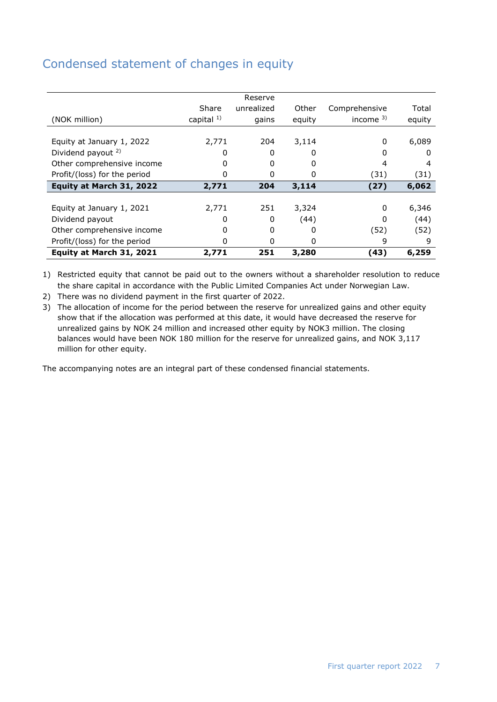## Condensed statement of changes in equity

|                               |               | Reserve    |        |               |        |
|-------------------------------|---------------|------------|--------|---------------|--------|
|                               | Share         | unrealized | Other  | Comprehensive | Total  |
| (NOK million)                 | capital $1$ ) | gains      | equity | income $3$ )  | equity |
|                               |               |            |        |               |        |
| Equity at January 1, 2022     | 2,771         | 204        | 3,114  | $\Omega$      | 6,089  |
| Dividend payout <sup>2)</sup> | 0             | 0          | 0      | 0             |        |
| Other comprehensive income    |               | 0          | 0      | 4             | 4      |
| Profit/(loss) for the period  | 0             | 0          | 0      | (31)          | (31)   |
| Equity at March 31, 2022      | 2,771         | 204        | 3,114  | (27)          | 6,062  |
|                               |               |            |        |               |        |
| Equity at January 1, 2021     | 2,771         | 251        | 3,324  | $\Omega$      | 6,346  |
| Dividend payout               | 0             | 0          | (44)   | $\Omega$      | (44)   |
| Other comprehensive income    | O             | $\Omega$   | 0      | (52)          | (52)   |
| Profit/(loss) for the period  | 0             | 0          | 0      | 9             | 9      |
| Equity at March 31, 2021      | 2,771         | 251        | 3,280  | (43)          | 6,259  |

1) Restricted equity that cannot be paid out to the owners without a shareholder resolution to reduce the share capital in accordance with the Public Limited Companies Act under Norwegian Law.

2) There was no dividend payment in the first quarter of 2022.

3) The allocation of income for the period between the reserve for unrealized gains and other equity show that if the allocation was performed at this date, it would have decreased the reserve for unrealized gains by NOK 24 million and increased other equity by NOK3 million. The closing balances would have been NOK 180 million for the reserve for unrealized gains, and NOK 3,117 million for other equity.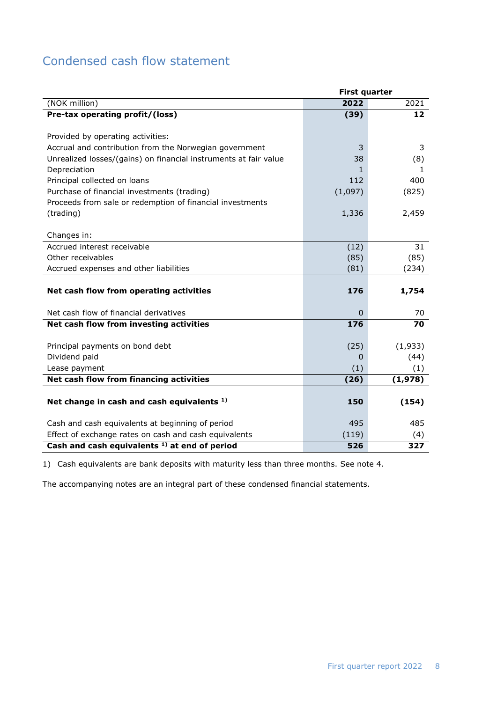## Condensed cash flow statement

|                                                                  | <b>First quarter</b> |                   |
|------------------------------------------------------------------|----------------------|-------------------|
| (NOK million)                                                    | 2022                 | 2021              |
| Pre-tax operating profit/(loss)                                  | (39)                 | $12 \overline{ }$ |
|                                                                  |                      |                   |
| Provided by operating activities:                                |                      |                   |
| Accrual and contribution from the Norwegian government           | 3                    | 3                 |
| Unrealized losses/(gains) on financial instruments at fair value | 38                   | (8)               |
| Depreciation                                                     | $\mathbf{1}$         | 1.                |
| Principal collected on loans                                     | 112                  | 400               |
| Purchase of financial investments (trading)                      | (1,097)              | (825)             |
| Proceeds from sale or redemption of financial investments        |                      |                   |
| (trading)                                                        | 1,336                | 2,459             |
|                                                                  |                      |                   |
| Changes in:                                                      |                      |                   |
| Accrued interest receivable                                      | (12)                 | 31                |
| Other receivables                                                | (85)                 | (85)              |
| Accrued expenses and other liabilities                           | (81)                 | (234)             |
|                                                                  |                      |                   |
| Net cash flow from operating activities                          | 176                  | 1,754             |
|                                                                  |                      |                   |
| Net cash flow of financial derivatives                           | $\mathbf 0$          | 70                |
| Net cash flow from investing activities                          | 176                  | 70                |
|                                                                  |                      |                   |
| Principal payments on bond debt                                  | (25)                 | (1,933)           |
| Dividend paid                                                    | 0                    | (44)              |
| Lease payment                                                    | (1)                  | (1)               |
| Net cash flow from financing activities                          | (26)                 | (1,978)           |
|                                                                  |                      |                   |
| Net change in cash and cash equivalents 1)                       | 150                  | (154)             |
|                                                                  |                      |                   |
| Cash and cash equivalents at beginning of period                 | 495                  | 485               |
| Effect of exchange rates on cash and cash equivalents            | (119)                | (4)               |
| Cash and cash equivalents <sup>1)</sup> at end of period         | 526                  | 327               |

1) Cash equivalents are bank deposits with maturity less than three months. See note 4.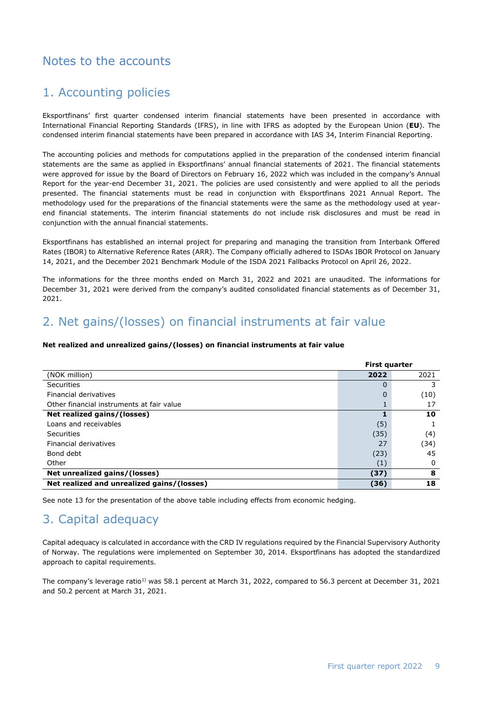### Notes to the accounts

### 1. Accounting policies

Eksportfinans' first quarter condensed interim financial statements have been presented in accordance with International Financial Reporting Standards (IFRS), in line with IFRS as adopted by the European Union (**EU**). The condensed interim financial statements have been prepared in accordance with IAS 34, Interim Financial Reporting.

The accounting policies and methods for computations applied in the preparation of the condensed interim financial statements are the same as applied in Eksportfinans' annual financial statements of 2021. The financial statements were approved for issue by the Board of Directors on February 16, 2022 which was included in the company's Annual Report for the year-end December 31, 2021. The policies are used consistently and were applied to all the periods presented. The financial statements must be read in conjunction with Eksportfinans 2021 Annual Report. The methodology used for the preparations of the financial statements were the same as the methodology used at yearend financial statements. The interim financial statements do not include risk disclosures and must be read in conjunction with the annual financial statements.

Eksportfinans has established an internal project for preparing and managing the transition from Interbank Offered Rates (IBOR) to Alternative Reference Rates (ARR). The Company officially adhered to ISDAs IBOR Protocol on January 14, 2021, and the December 2021 Benchmark Module of the ISDA 2021 Fallbacks Protocol on April 26, 2022.

The informations for the three months ended on March 31, 2022 and 2021 are unaudited. The informations for December 31, 2021 were derived from the company's audited consolidated financial statements as of December 31, 2021.

## 2. Net gains/(losses) on financial instruments at fair value

#### **Net realized and unrealized gains/(losses) on financial instruments at fair value**

|                                            | <b>First quarter</b> |      |  |
|--------------------------------------------|----------------------|------|--|
| (NOK million)                              | 2022                 | 2021 |  |
| Securities                                 | 0                    | 3    |  |
| Financial derivatives                      | 0                    | (10) |  |
| Other financial instruments at fair value  |                      | 17   |  |
| Net realized gains/(losses)                |                      | 10   |  |
| Loans and receivables                      | (5)                  |      |  |
| Securities                                 | (35)                 | (4)  |  |
| Financial derivatives                      | 27                   | (34) |  |
| Bond debt                                  | (23)                 | 45   |  |
| Other                                      | (1)                  | 0    |  |
| Net unrealized gains/(losses)              | (37)                 | 8    |  |
| Net realized and unrealized gains/(losses) | (36)                 | 18   |  |

See note 13 for the presentation of the above table including effects from economic hedging.

## 3. Capital adequacy

Capital adequacy is calculated in accordance with the CRD IV regulations required by the Financial Supervisory Authority of Norway. The regulations were implemented on September 30, 2014. Eksportfinans has adopted the standardized approach to capital requirements.

The company's leverage ratio<sup>1)</sup> was 58.1 percent at March 31, 2022, compared to 56.3 percent at December 31, 2021 and 50.2 percent at March 31, 2021.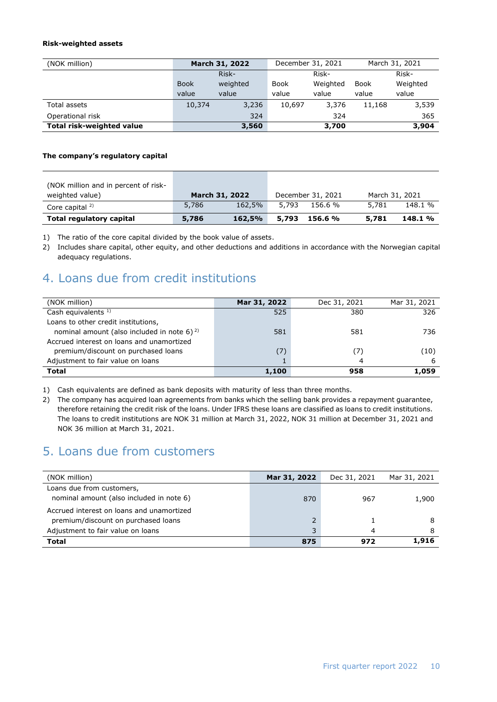#### **Risk-weighted assets**

| (NOK million)             |             | March 31, 2022 |             | December 31, 2021 |        | March 31, 2021 |
|---------------------------|-------------|----------------|-------------|-------------------|--------|----------------|
|                           |             | Risk-          |             | Risk-             |        | Risk-          |
|                           | <b>Book</b> | weighted       | <b>Book</b> | Weighted          | Book   | Weighted       |
|                           | value       | value          | value       | value             | value  | value          |
| Total assets              | 10,374      | 3,236          | 10,697      | 3,376             | 11,168 | 3,539          |
| Operational risk          |             | 324            |             | 324               |        | 365            |
| Total risk-weighted value |             | 3,560          |             | 3,700             |        | 3,904          |

#### **The company's regulatory capital**

| (NOK million and in percent of risk- |                |        |                   |         |                |         |
|--------------------------------------|----------------|--------|-------------------|---------|----------------|---------|
| weighted value)                      | March 31, 2022 |        | December 31, 2021 |         | March 31, 2021 |         |
| Core capital <sup>2)</sup>           | 5,786          | 162.5% | 5.793             | 156.6 % | 5.781          | 148.1 % |
| Total regulatory capital             | 5,786          | 162,5% | 5,793             | 156.6 % | 5,781          | 148.1 % |

1) The ratio of the core capital divided by the book value of assets.

2) Includes share capital, other equity, and other deductions and additions in accordance with the Norwegian capital adequacy regulations.

### 4. Loans due from credit institutions

| (NOK million)                                     | Mar 31, 2022 | Dec 31, 2021 | Mar 31, 2021 |
|---------------------------------------------------|--------------|--------------|--------------|
| Cash equivalents $1$ )                            | 525          | 380          | 326          |
| Loans to other credit institutions,               |              |              |              |
| nominal amount (also included in note 6) $^{2}$ ) | 581          | 581          | 736          |
| Accrued interest on loans and unamortized         |              |              |              |
| premium/discount on purchased loans               | (7)          | '7)          | (10)         |
| Adjustment to fair value on loans                 |              | 4            | ь            |
| <b>Total</b>                                      | 1,100        | 958          | 1,059        |

1) Cash equivalents are defined as bank deposits with maturity of less than three months.

2) The company has acquired loan agreements from banks which the selling bank provides a repayment guarantee, therefore retaining the credit risk of the loans. Under IFRS these loans are classified as loans to credit institutions. The loans to credit institutions are NOK 31 million at March 31, 2022, NOK 31 million at December 31, 2021 and NOK 36 million at March 31, 2021.

### 5. Loans due from customers

| (NOK million)                             | Mar 31, 2022 | Dec 31, 2021 | Mar 31, 2021 |
|-------------------------------------------|--------------|--------------|--------------|
| Loans due from customers,                 |              |              |              |
| nominal amount (also included in note 6)  | 870          | 967          | 1,900        |
| Accrued interest on loans and unamortized |              |              |              |
| premium/discount on purchased loans       |              |              |              |
| Adjustment to fair value on loans         |              | 4            |              |
| <b>Total</b>                              | 875          | 972          | 1,916        |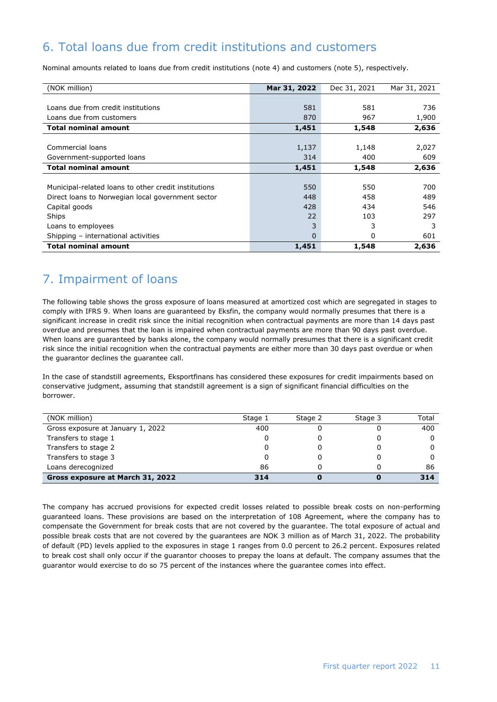## 6. Total loans due from credit institutions and customers

Nominal amounts related to loans due from credit institutions (note 4) and customers (note 5), respectively.

| (NOK million)                                        | Mar 31, 2022 | Dec 31, 2021 | Mar 31, 2021 |
|------------------------------------------------------|--------------|--------------|--------------|
|                                                      |              |              |              |
| Loans due from credit institutions                   | 581          | 581          | 736          |
| Loans due from customers                             | 870          | 967          | 1,900        |
| <b>Total nominal amount</b>                          | 1,451        | 1,548        | 2,636        |
|                                                      |              |              |              |
| Commercial loans                                     | 1,137        | 1,148        | 2,027        |
| Government-supported loans                           | 314          | 400          | 609          |
| <b>Total nominal amount</b>                          | 1,451        | 1,548        | 2,636        |
|                                                      |              |              |              |
| Municipal-related loans to other credit institutions | 550          | 550          | 700          |
| Direct loans to Norwegian local government sector    | 448          | 458          | 489          |
| Capital goods                                        | 428          | 434          | 546          |
| Ships                                                | 22           | 103          | 297          |
| Loans to employees                                   | 3            | 3            | 3            |
| Shipping - international activities                  | 0            | 0            | 601          |
| <b>Total nominal amount</b>                          | 1,451        | 1,548        | 2,636        |

## 7. Impairment of loans

The following table shows the gross exposure of loans measured at amortized cost which are segregated in stages to comply with IFRS 9. When loans are guaranteed by Eksfin, the company would normally presumes that there is a significant increase in credit risk since the initial recognition when contractual payments are more than 14 days past overdue and presumes that the loan is impaired when contractual payments are more than 90 days past overdue. When loans are guaranteed by banks alone, the company would normally presumes that there is a significant credit risk since the initial recognition when the contractual payments are either more than 30 days past overdue or when the guarantor declines the guarantee call.

In the case of standstill agreements, Eksportfinans has considered these exposures for credit impairments based on conservative judgment, assuming that standstill agreement is a sign of significant financial difficulties on the borrower.

| (NOK million)                     | Stage 1 | Stage 2 | Stage 3 | Total |
|-----------------------------------|---------|---------|---------|-------|
| Gross exposure at January 1, 2022 | 400     |         |         | 400   |
| Transfers to stage 1              |         |         |         |       |
| Transfers to stage 2              |         |         |         |       |
| Transfers to stage 3              |         |         |         |       |
| Loans derecognized                | 86      |         |         | 86    |
| Gross exposure at March 31, 2022  | 314     |         |         | 314   |

The company has accrued provisions for expected credit losses related to possible break costs on non-performing guaranteed loans. These provisions are based on the interpretation of 108 Agreement, where the company has to compensate the Government for break costs that are not covered by the guarantee. The total exposure of actual and possible break costs that are not covered by the guarantees are NOK 3 million as of March 31, 2022. The probability of default (PD) levels applied to the exposures in stage 1 ranges from 0.0 percent to 26.2 percent. Exposures related to break cost shall only occur if the guarantor chooses to prepay the loans at default. The company assumes that the guarantor would exercise to do so 75 percent of the instances where the guarantee comes into effect.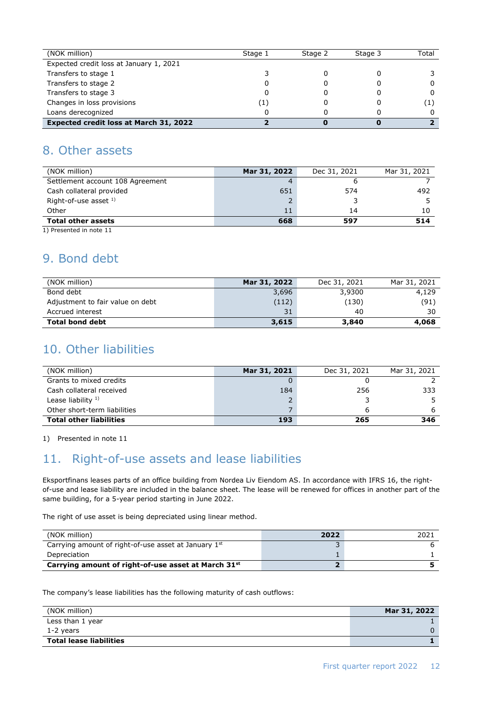| (NOK million)                           | Stage 1 | Stage 2 | Stage 3 | Total |
|-----------------------------------------|---------|---------|---------|-------|
| Expected credit loss at January 1, 2021 |         |         |         |       |
| Transfers to stage 1                    |         |         |         |       |
| Transfers to stage 2                    |         |         |         |       |
| Transfers to stage 3                    |         |         |         |       |
| Changes in loss provisions              |         |         |         |       |
| Loans derecognized                      |         |         |         |       |
| Expected credit loss at March 31, 2022  |         |         |         |       |

### 8. Other assets

| (NOK million)                    | Mar 31, 2022 | Dec 31, 2021 | Mar 31, 2021 |
|----------------------------------|--------------|--------------|--------------|
| Settlement account 108 Agreement |              | o            |              |
| Cash collateral provided         | 651          | 574          | 492          |
| Right-of-use asset $1$ )         |              |              |              |
| Other                            | 11           | 14           | 10           |
| <b>Total other assets</b>        | 668          | 597          | 514          |
| 1) Presented in note 11          |              |              |              |

## 9. Bond debt

| (NOK million)                    | Mar 31, 2022 | Dec 31, 2021 | Mar 31, 2021 |
|----------------------------------|--------------|--------------|--------------|
| Bond debt                        | 3,696        | 3,9300       | 4,129        |
| Adjustment to fair value on debt | (112)        | (130)        | (91)         |
| Accrued interest                 | 31           | 40           | 30           |
| <b>Total bond debt</b>           | 3,615        | 3,840        | 4,068        |

## 10. Other liabilities

| (NOK million)                  | Mar 31, 2021 | Dec 31, 2021 | Mar 31, 2021 |
|--------------------------------|--------------|--------------|--------------|
| Grants to mixed credits        |              |              |              |
| Cash collateral received       | 184          | 256          | 333          |
| Lease liability $1$ )          |              |              |              |
| Other short-term liabilities   |              |              |              |
| <b>Total other liabilities</b> | 193          | 265          | 346          |

1) Presented in note 11

# 11. Right-of-use assets and lease liabilities

Eksportfinans leases parts of an office building from Nordea Liv Eiendom AS. In accordance with IFRS 16, the rightof-use and lease liability are included in the balance sheet. The lease will be renewed for offices in another part of the same building, for a 5-year period starting in June 2022.

The right of use asset is being depreciated using linear method.

| (NOK million)                                                   | 2022 | 2021 |
|-----------------------------------------------------------------|------|------|
| Carrying amount of right-of-use asset at January 1st            |      |      |
| Depreciation                                                    |      |      |
| Carrying amount of right-of-use asset at March 31 <sup>st</sup> |      |      |

The company's lease liabilities has the following maturity of cash outflows:

| (NOK million)                  | Mar 31, 2022 |
|--------------------------------|--------------|
| Less than 1 year               |              |
| 1-2 years                      |              |
| <b>Total lease liabilities</b> |              |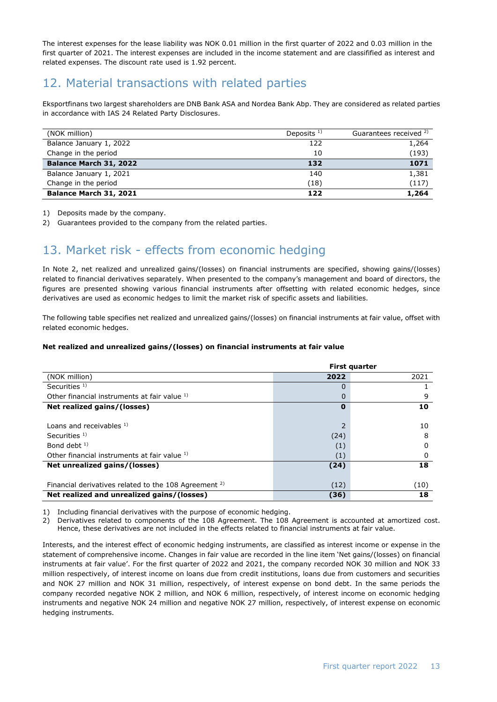The interest expenses for the lease liability was NOK 0.01 million in the first quarter of 2022 and 0.03 million in the first quarter of 2021. The interest expenses are included in the income statement and are classifified as interest and related expenses. The discount rate used is 1.92 percent.

## 12. Material transactions with related parties

Eksportfinans two largest shareholders are DNB Bank ASA and Nordea Bank Abp. They are considered as related parties in accordance with IAS 24 Related Party Disclosures.

| (NOK million)           | Deposits $1$ ) | Guarantees received <sup>2)</sup> |
|-------------------------|----------------|-----------------------------------|
| Balance January 1, 2022 | 122            | 1,264                             |
| Change in the period    | 10             | (193)                             |
| Balance March 31, 2022  | 132            | 1071                              |
| Balance January 1, 2021 | 140            | 1,381                             |
| Change in the period    | (18)           | (117)                             |
| Balance March 31, 2021  | 122            | 1,264                             |

1) Deposits made by the company.

2) Guarantees provided to the company from the related parties.

## 13. Market risk - effects from economic hedging

In Note 2, net realized and unrealized gains/(losses) on financial instruments are specified, showing gains/(losses) related to financial derivatives separately. When presented to the company's management and board of directors, the figures are presented showing various financial instruments after offsetting with related economic hedges, since derivatives are used as economic hedges to limit the market risk of specific assets and liabilities.

The following table specifies net realized and unrealized gains/(losses) on financial instruments at fair value, offset with related economic hedges.

#### **Net realized and unrealized gains/(losses) on financial instruments at fair value**

|                                                                  |          | <b>First quarter</b> |
|------------------------------------------------------------------|----------|----------------------|
| (NOK million)                                                    | 2022     | 2021                 |
| Securities $1$ )                                                 | 0        |                      |
| Other financial instruments at fair value 1)                     |          | 9                    |
| Net realized gains/(losses)                                      | $\bf{0}$ | 10                   |
|                                                                  |          |                      |
| Loans and receivables $1$ )                                      |          | 10                   |
| Securities $1$ )                                                 | (24)     | 8                    |
| Bond debt $1$ )                                                  | (1)      | 0                    |
| Other financial instruments at fair value 1)                     | (1)      | 0                    |
| Net unrealized gains/(losses)                                    | (24)     | 18                   |
|                                                                  |          |                      |
| Financial derivatives related to the 108 Agreement <sup>2)</sup> | (12)     | (10)                 |
| Net realized and unrealized gains/(losses)                       | (36)     | 18                   |

1) Including financial derivatives with the purpose of economic hedging.

2) Derivatives related to components of the 108 Agreement. The 108 Agreement is accounted at amortized cost. Hence, these derivatives are not included in the effects related to financial instruments at fair value.

Interests, and the interest effect of economic hedging instruments, are classified as interest income or expense in the statement of comprehensive income. Changes in fair value are recorded in the line item 'Net gains/(losses) on financial instruments at fair value'. For the first quarter of 2022 and 2021, the company recorded NOK 30 million and NOK 33 million respectively, of interest income on loans due from credit institutions, loans due from customers and securities and NOK 27 million and NOK 31 million, respectively, of interest expense on bond debt. In the same periods the company recorded negative NOK 2 million, and NOK 6 million, respectively, of interest income on economic hedging instruments and negative NOK 24 million and negative NOK 27 million, respectively, of interest expense on economic hedging instruments.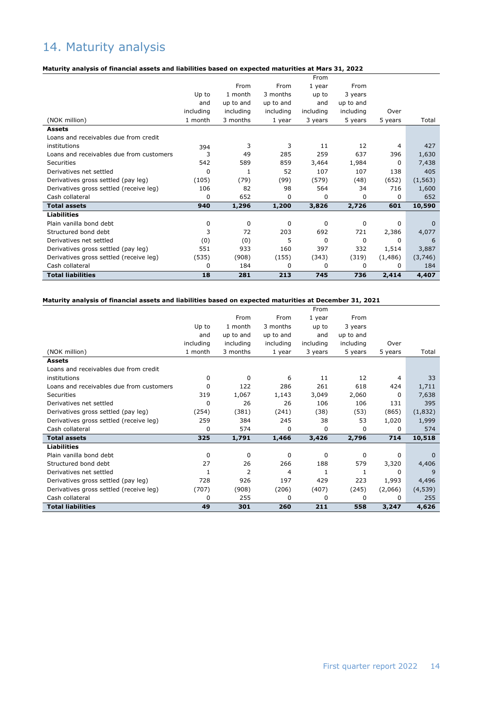## 14. Maturity analysis

#### **Maturity analysis of financial assets and liabilities based on expected maturities at Mars 31, 2022**

|                                          |           |           |             | From        |             |         |          |
|------------------------------------------|-----------|-----------|-------------|-------------|-------------|---------|----------|
|                                          |           | From      | From        | 1 year      | From        |         |          |
|                                          | Up to     | 1 month   | 3 months    | up to       | 3 years     |         |          |
|                                          | and       | up to and | up to and   | and         | up to and   |         |          |
|                                          | including | including | including   | including   | including   | Over    |          |
| (NOK million)                            | 1 month   | 3 months  | 1 year      | 3 years     | 5 years     | 5 years | Total    |
| <b>Assets</b>                            |           |           |             |             |             |         |          |
| Loans and receivables due from credit    |           |           |             |             |             |         |          |
| institutions                             | 394       | 3         | 3           | 11          | 12          | 4       | 427      |
| Loans and receivables due from customers | 3         | 49        | 285         | 259         | 637         | 396     | 1,630    |
| Securities                               | 542       | 589       | 859         | 3,464       | 1,984       | 0       | 7,438    |
| Derivatives net settled                  | $\Omega$  | 1         | 52          | 107         | 107         | 138     | 405      |
| Derivatives gross settled (pay leg)      | (105)     | (79)      | (99)        | (579)       | (48)        | (652)   | (1, 563) |
| Derivatives gross settled (receive leg)  | 106       | 82        | 98          | 564         | 34          | 716     | 1,600    |
| Cash collateral                          | 0         | 652       | 0           | $\Omega$    | 0           | 0       | 652      |
| <b>Total assets</b>                      | 940       | 1,296     | 1,200       | 3,826       | 2,726       | 601     | 10,590   |
| <b>Liabilities</b>                       |           |           |             |             |             |         |          |
| Plain vanilla bond debt                  | 0         | 0         | $\mathbf 0$ | 0           | $\mathbf 0$ | 0       | $\Omega$ |
| Structured bond debt                     | 3         | 72        | 203         | 692         | 721         | 2,386   | 4,077    |
| Derivatives net settled                  | (0)       | (0)       | 5           | $\mathbf 0$ | 0           | 0       | 6        |
| Derivatives gross settled (pay leg)      | 551       | 933       | 160         | 397         | 332         | 1,514   | 3,887    |
| Derivatives gross settled (receive leg)  | (535)     | (908)     | (155)       | (343)       | (319)       | (1,486) | (3,746)  |
| Cash collateral                          | 0         | 184       | 0           | 0           | 0           | 0       | 184      |
| <b>Total liabilities</b>                 | 18        | 281       | 213         | 745         | 736         | 2,414   | 4,407    |

#### **Maturity analysis of financial assets and liabilities based on expected maturities at December 31, 2021**

|                                          |           |                |             | From      |           |         |          |
|------------------------------------------|-----------|----------------|-------------|-----------|-----------|---------|----------|
|                                          |           | From           | From        | 1 year    | From      |         |          |
|                                          | Up to     | 1 month        | 3 months    | up to     | 3 years   |         |          |
|                                          | and       | up to and      | up to and   | and       | up to and |         |          |
|                                          | including | including      | including   | including | including | Over    |          |
| (NOK million)                            | 1 month   | 3 months       | 1 year      | 3 years   | 5 years   | 5 years | Total    |
| <b>Assets</b>                            |           |                |             |           |           |         |          |
| Loans and receivables due from credit    |           |                |             |           |           |         |          |
| institutions                             | $\Omega$  | 0              | 6           | 11        | 12        | 4       | 33       |
| Loans and receivables due from customers | $\Omega$  | 122            | 286         | 261       | 618       | 424     | 1,711    |
| Securities                               | 319       | 1,067          | 1,143       | 3,049     | 2,060     | 0       | 7,638    |
| Derivatives net settled                  | 0         | 26             | 26          | 106       | 106       | 131     | 395      |
| Derivatives gross settled (pay leg)      | (254)     | (381)          | (241)       | (38)      | (53)      | (865)   | (1,832)  |
| Derivatives gross settled (receive leg)  | 259       | 384            | 245         | 38        | 53        | 1,020   | 1,999    |
| Cash collateral                          | 0         | 574            | 0           | 0         | 0         | 0       | 574      |
| <b>Total assets</b>                      | 325       | 1,791          | 1,466       | 3,426     | 2,796     | 714     | 10,518   |
| <b>Liabilities</b>                       |           |                |             |           |           |         |          |
| Plain vanilla bond debt                  | 0         | $\Omega$       | $\mathbf 0$ | 0         | 0         | 0       | $\Omega$ |
| Structured bond debt                     | 27        | 26             | 266         | 188       | 579       | 3,320   | 4,406    |
| Derivatives net settled                  | 1         | $\overline{2}$ | 4           |           | 1         | 0       | 9        |
| Derivatives gross settled (pay leg)      | 728       | 926            | 197         | 429       | 223       | 1,993   | 4,496    |
| Derivatives gross settled (receive leg)  | (707)     | (908)          | (206)       | (407)     | (245)     | (2,066) | (4,539)  |
| Cash collateral                          | 0         | 255            | 0           | 0         | 0         | 0       | 255      |
| <b>Total liabilities</b>                 | 49        | 301            | 260         | 211       | 558       | 3,247   | 4,626    |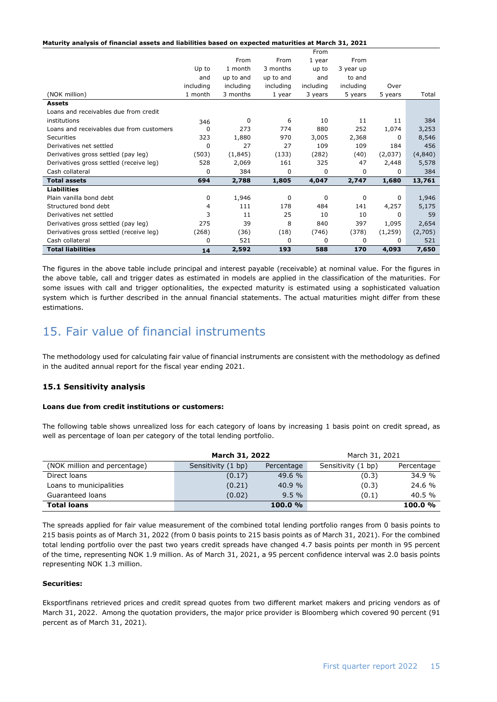**Maturity analysis of financial assets and liabilities based on expected maturities at March 31, 2021**

|                                          |           |           |             | From      |           |         |         |
|------------------------------------------|-----------|-----------|-------------|-----------|-----------|---------|---------|
|                                          |           | From      | From        | 1 year    | From      |         |         |
|                                          | Up to     | 1 month   | 3 months    | up to     | 3 year up |         |         |
|                                          | and       | up to and | up to and   | and       | to and    |         |         |
|                                          | including | including | including   | including | including | Over    |         |
| (NOK million)                            | 1 month   | 3 months  | 1 year      | 3 years   | 5 years   | 5 years | Total   |
| <b>Assets</b>                            |           |           |             |           |           |         |         |
| Loans and receivables due from credit    |           |           |             |           |           |         |         |
| institutions                             | 346       | 0         | 6           | 10        | 11        | 11      | 384     |
| Loans and receivables due from customers | O         | 273       | 774         | 880       | 252       | 1,074   | 3,253   |
| <b>Securities</b>                        | 323       | 1,880     | 970         | 3,005     | 2,368     | 0       | 8,546   |
| Derivatives net settled                  | 0         | 27        | 27          | 109       | 109       | 184     | 456     |
| Derivatives gross settled (pay leg)      | (503)     | (1,845)   | (133)       | (282)     | (40)      | (2,037) | (4,840) |
| Derivatives gross settled (receive leg)  | 528       | 2,069     | 161         | 325       | 47        | 2,448   | 5,578   |
| Cash collateral                          | 0         | 384       | 0           | 0         | 0         | 0       | 384     |
| <b>Total assets</b>                      | 694       | 2,788     | 1,805       | 4,047     | 2,747     | 1,680   | 13,761  |
| <b>Liabilities</b>                       |           |           |             |           |           |         |         |
| Plain vanilla bond debt                  | 0         | 1,946     | 0           | 0         | 0         | 0       | 1,946   |
| Structured bond debt                     | 4         | 111       | 178         | 484       | 141       | 4,257   | 5,175   |
| Derivatives net settled                  | 3         | 11        | 25          | 10        | 10        | 0       | 59      |
| Derivatives gross settled (pay leg)      | 275       | 39        | 8           | 840       | 397       | 1,095   | 2,654   |
| Derivatives gross settled (receive leg)  | (268)     | (36)      | (18)        | (746)     | (378)     | (1,259) | (2,705) |
| Cash collateral                          | 0         | 521       | $\mathbf 0$ | 0         | 0         | 0       | 521     |
| <b>Total liabilities</b>                 | 14        | 2,592     | 193         | 588       | 170       | 4,093   | 7,650   |

The figures in the above table include principal and interest payable (receivable) at nominal value. For the figures in the above table, call and trigger dates as estimated in models are applied in the classification of the maturities. For some issues with call and trigger optionalities, the expected maturity is estimated using a sophisticated valuation system which is further described in the annual financial statements. The actual maturities might differ from these estimations.

### 15. Fair value of financial instruments

The methodology used for calculating fair value of financial instruments are consistent with the methodology as defined in the audited annual report for the fiscal year ending 2021.

### **15.1 Sensitivity analysis**

#### **Loans due from credit institutions or customers:**

The following table shows unrealized loss for each category of loans by increasing 1 basis point on credit spread, as well as percentage of loan per category of the total lending portfolio.

|                              | March 31, 2022     |            | March 31, 2021     |            |
|------------------------------|--------------------|------------|--------------------|------------|
| (NOK million and percentage) | Sensitivity (1 bp) | Percentage | Sensitivity (1 bp) | Percentage |
| Direct loans                 | (0.17)             | 49.6 %     | (0.3)              | 34.9 %     |
| Loans to municipalities      | (0.21)             | 40.9 %     | (0.3)              | 24.6 %     |
| Guaranteed loans             | (0.02)             | 9.5%       | (0.1)              | $40.5\%$   |
| <b>Total loans</b>           |                    | 100.0%     |                    | 100.0%     |

The spreads applied for fair value measurement of the combined total lending portfolio ranges from 0 basis points to 215 basis points as of March 31, 2022 (from 0 basis points to 215 basis points as of March 31, 2021). For the combined total lending portfolio over the past two years credit spreads have changed 4.7 basis points per month in 95 percent of the time, representing NOK 1.9 million. As of March 31, 2021, a 95 percent confidence interval was 2.0 basis points representing NOK 1.3 million.

### **Securities:**

Eksportfinans retrieved prices and credit spread quotes from two different market makers and pricing vendors as of March 31, 2022. Among the quotation providers, the major price provider is Bloomberg which covered 90 percent (91 percent as of March 31, 2021).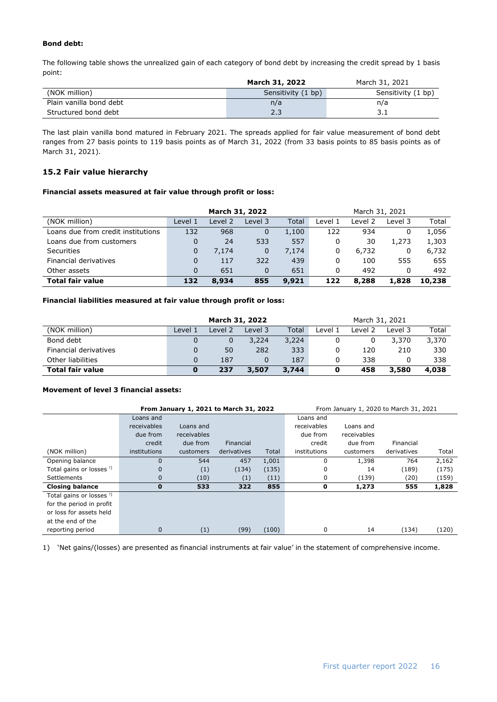#### **Bond debt:**

The following table shows the unrealized gain of each category of bond debt by increasing the credit spread by 1 basis point:

|                         | March 31, 2022     | March 31, 2021     |
|-------------------------|--------------------|--------------------|
| (NOK million)           | Sensitivity (1 bp) | Sensitivity (1 bp) |
| Plain vanilla bond debt | n/a                | n/a                |
| Structured bond debt    | 2.3                | ⊥. د               |

The last plain vanilla bond matured in February 2021. The spreads applied for fair value measurement of bond debt ranges from 27 basis points to 119 basis points as of March 31, 2022 (from 33 basis points to 85 basis points as of March 31, 2021).

### **15.2 Fair value hierarchy**

#### **Financial assets measured at fair value through profit or loss:**

|                                    |                                              | March 31, 2022 |             |       | March 31, 2021 |         |         |        |
|------------------------------------|----------------------------------------------|----------------|-------------|-------|----------------|---------|---------|--------|
| (NOK million)                      | Level 1                                      | Level 2        | Level 3     | Total | Level 1        | Level 2 | Level 3 | Total  |
| Loans due from credit institutions | 132                                          | 968            | 0           | 1,100 | 122            | 934     |         | 1,056  |
| Loans due from customers           | 0                                            | 24             | 533         | 557   | 0              | 30      | 1,273   | 1,303  |
| <b>Securities</b>                  | 0                                            | 7,174          | $\mathbf 0$ | 7,174 | 0              | 6,732   | 0       | 6,732  |
| Financial derivatives              | $\Omega$                                     | 117            | 322         | 439   | 0              | 100     | 555     | 655    |
| Other assets                       | $\Omega$                                     | 651            | $\Omega$    | 651   | 0              | 492     |         | 492    |
| <b>Total fair value</b>            | 9,921<br>855<br>8,934<br>122<br>8,288<br>132 |                |             |       |                |         | 1,828   | 10,238 |

#### **Financial liabilities measured at fair value through profit or loss:**

|                         | March 31, 2022                             |         |         |       | March 31, 2021 |         |         |       |
|-------------------------|--------------------------------------------|---------|---------|-------|----------------|---------|---------|-------|
| (NOK million)           | Level 1                                    | Level 2 | Level 3 | Total | Level 1        | Level 2 | Level 3 | Total |
| Bond debt               |                                            | 0       | 3,224   | 3,224 |                | O       | 3,370   | 3,370 |
| Financial derivatives   |                                            | 50      | 282     | 333   |                | 120     | 210     | 330   |
| Other liabilities       |                                            | 187     |         | 187   |                | 338     |         | 338   |
| <b>Total fair value</b> | 3,744<br>458<br>237<br>3,580<br>3,507<br>0 |         |         |       |                |         | 4,038   |       |

#### **Movement of level 3 financial assets:**

|                                     | From January 1, 2021 to March 31, 2022<br>From January 1, 2020 to March 31, 2021 |                    |             |       |              |             |             |       |
|-------------------------------------|----------------------------------------------------------------------------------|--------------------|-------------|-------|--------------|-------------|-------------|-------|
|                                     | Loans and                                                                        |                    |             |       | Loans and    |             |             |       |
|                                     | receivables                                                                      | Loans and          |             |       | receivables  | Loans and   |             |       |
|                                     | due from                                                                         | <b>receivables</b> |             |       | due from     | receivables |             |       |
|                                     | credit                                                                           | due from           | Financial   |       | credit       | due from    | Financial   |       |
| (NOK million)                       | institutions                                                                     | customers          | derivatives | Total | institutions | customers   | derivatives | Total |
| Opening balance                     | $\mathbf 0$                                                                      | 544                | 457         | 1,001 | 0            | 1,398       | 764         | 2,162 |
| Total gains or losses <sup>!)</sup> | $\mathbf 0$                                                                      | (1)                | (134)       | (135) | 0            | 14          | (189)       | (175) |
| <b>Settlements</b>                  | $\mathbf 0$                                                                      | (10)               | (1)         | (11)  | 0            | (139)       | (20)        | (159) |
| <b>Closing balance</b>              | $\bf{0}$                                                                         | 533                | 322         | 855   | 0            | 1,273       | 555         | 1,828 |
| Total gains or losses <sup>!)</sup> |                                                                                  |                    |             |       |              |             |             |       |
| for the period in profit            |                                                                                  |                    |             |       |              |             |             |       |
| or loss for assets held             |                                                                                  |                    |             |       |              |             |             |       |
| at the end of the                   |                                                                                  |                    |             |       |              |             |             |       |
| reporting period                    | $\mathbf 0$                                                                      | (1)                | (99)        | (100) | 0            | 14          | (134)       | (120) |
|                                     |                                                                                  |                    |             |       |              |             |             |       |

1) 'Net gains/(losses) are presented as financial instruments at fair value' in the statement of comprehensive income.